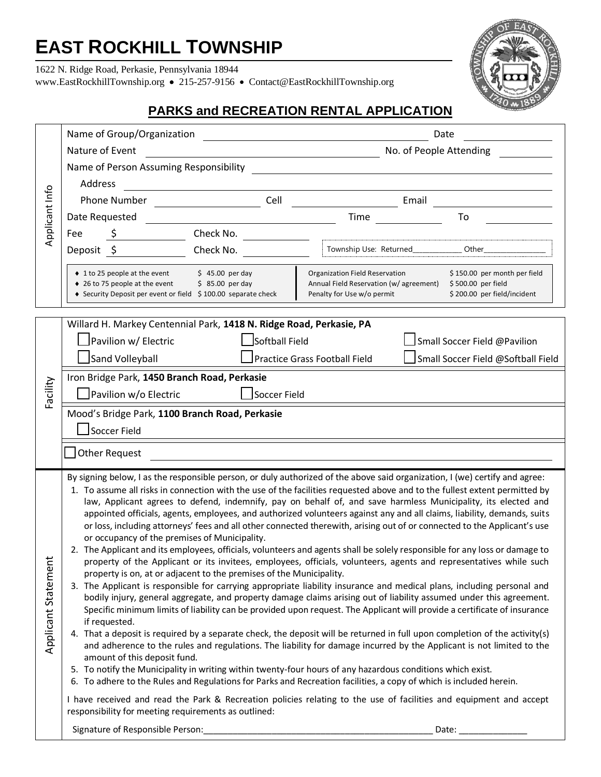# **EAST ROCKHILL TOWNSHIP**

1622 N. Ridge Road, Perkasie, Pennsylvania 18944

[www.EastRockhillTownship.org](http://www.eastrockhilltownship.org/)•215-257-9156 • Contact@EastRockhillTownship.org



# **PARKS and RECREATION RENTAL APPLICATION**

| Applicant Info          | Name of Group/Organization<br>Date                                                                                                                                                                                                                                                                                                                                                                                                                                                                                                                                                                                                                                                                                                                                                                                                                                                                                                                                                                                                                                                                                                                                                                                                                                                                                                                                                                                                                                                                                                                                                                                                                                                                                                                                                                                                                                                                                                                                                                                                                                                                                  |
|-------------------------|---------------------------------------------------------------------------------------------------------------------------------------------------------------------------------------------------------------------------------------------------------------------------------------------------------------------------------------------------------------------------------------------------------------------------------------------------------------------------------------------------------------------------------------------------------------------------------------------------------------------------------------------------------------------------------------------------------------------------------------------------------------------------------------------------------------------------------------------------------------------------------------------------------------------------------------------------------------------------------------------------------------------------------------------------------------------------------------------------------------------------------------------------------------------------------------------------------------------------------------------------------------------------------------------------------------------------------------------------------------------------------------------------------------------------------------------------------------------------------------------------------------------------------------------------------------------------------------------------------------------------------------------------------------------------------------------------------------------------------------------------------------------------------------------------------------------------------------------------------------------------------------------------------------------------------------------------------------------------------------------------------------------------------------------------------------------------------------------------------------------|
|                         | No. of People Attending<br>Nature of Event<br><u> 1989 - Johann Barn, fransk politik (d. 1989)</u>                                                                                                                                                                                                                                                                                                                                                                                                                                                                                                                                                                                                                                                                                                                                                                                                                                                                                                                                                                                                                                                                                                                                                                                                                                                                                                                                                                                                                                                                                                                                                                                                                                                                                                                                                                                                                                                                                                                                                                                                                  |
|                         |                                                                                                                                                                                                                                                                                                                                                                                                                                                                                                                                                                                                                                                                                                                                                                                                                                                                                                                                                                                                                                                                                                                                                                                                                                                                                                                                                                                                                                                                                                                                                                                                                                                                                                                                                                                                                                                                                                                                                                                                                                                                                                                     |
|                         | Address                                                                                                                                                                                                                                                                                                                                                                                                                                                                                                                                                                                                                                                                                                                                                                                                                                                                                                                                                                                                                                                                                                                                                                                                                                                                                                                                                                                                                                                                                                                                                                                                                                                                                                                                                                                                                                                                                                                                                                                                                                                                                                             |
|                         | Phone Number<br>Cell<br>Email<br>$\overline{\phantom{a}}$ . The contract of $\overline{\phantom{a}}$ , $\overline{\phantom{a}}$ , $\overline{\phantom{a}}$ , $\overline{\phantom{a}}$ , $\overline{\phantom{a}}$ , $\overline{\phantom{a}}$ , $\overline{\phantom{a}}$ , $\overline{\phantom{a}}$ , $\overline{\phantom{a}}$ , $\overline{\phantom{a}}$ , $\overline{\phantom{a}}$ , $\overline{\phantom{a}}$ , $\overline{\phantom{a}}$ , $\overline{\phantom{a$                                                                                                                                                                                                                                                                                                                                                                                                                                                                                                                                                                                                                                                                                                                                                                                                                                                                                                                                                                                                                                                                                                                                                                                                                                                                                                                                                                                                                                                                                                                                                                                                                                                   |
|                         | Date Requested<br>Time<br>To                                                                                                                                                                                                                                                                                                                                                                                                                                                                                                                                                                                                                                                                                                                                                                                                                                                                                                                                                                                                                                                                                                                                                                                                                                                                                                                                                                                                                                                                                                                                                                                                                                                                                                                                                                                                                                                                                                                                                                                                                                                                                        |
|                         | Check No.<br>Fee                                                                                                                                                                                                                                                                                                                                                                                                                                                                                                                                                                                                                                                                                                                                                                                                                                                                                                                                                                                                                                                                                                                                                                                                                                                                                                                                                                                                                                                                                                                                                                                                                                                                                                                                                                                                                                                                                                                                                                                                                                                                                                    |
|                         | Township Use: Returned_______________ Other___<br>Check No.<br>Deposit \$                                                                                                                                                                                                                                                                                                                                                                                                                                                                                                                                                                                                                                                                                                                                                                                                                                                                                                                                                                                                                                                                                                                                                                                                                                                                                                                                                                                                                                                                                                                                                                                                                                                                                                                                                                                                                                                                                                                                                                                                                                           |
|                         | ◆ 1 to 25 people at the event<br>\$150.00 per month per field<br>$$45.00$ per day<br>Organization Field Reservation<br>♦ 26 to 75 people at the event<br>$$85.00$ per day<br>Annual Field Reservation (w/ agreement)<br>\$500.00 per field<br>◆ Security Deposit per event or field \$100.00 separate check<br>Penalty for Use w/o permit<br>\$200.00 per field/incident                                                                                                                                                                                                                                                                                                                                                                                                                                                                                                                                                                                                                                                                                                                                                                                                                                                                                                                                                                                                                                                                                                                                                                                                                                                                                                                                                                                                                                                                                                                                                                                                                                                                                                                                            |
|                         | Willard H. Markey Centennial Park, 1418 N. Ridge Road, Perkasie, PA                                                                                                                                                                                                                                                                                                                                                                                                                                                                                                                                                                                                                                                                                                                                                                                                                                                                                                                                                                                                                                                                                                                                                                                                                                                                                                                                                                                                                                                                                                                                                                                                                                                                                                                                                                                                                                                                                                                                                                                                                                                 |
| Facility                | Pavilion w/ Electric<br>Softball Field<br>Small Soccer Field @Pavilion                                                                                                                                                                                                                                                                                                                                                                                                                                                                                                                                                                                                                                                                                                                                                                                                                                                                                                                                                                                                                                                                                                                                                                                                                                                                                                                                                                                                                                                                                                                                                                                                                                                                                                                                                                                                                                                                                                                                                                                                                                              |
|                         | Sand Volleyball<br>Practice Grass Football Field<br>Small Soccer Field @Softball Field                                                                                                                                                                                                                                                                                                                                                                                                                                                                                                                                                                                                                                                                                                                                                                                                                                                                                                                                                                                                                                                                                                                                                                                                                                                                                                                                                                                                                                                                                                                                                                                                                                                                                                                                                                                                                                                                                                                                                                                                                              |
|                         | Iron Bridge Park, 1450 Branch Road, Perkasie                                                                                                                                                                                                                                                                                                                                                                                                                                                                                                                                                                                                                                                                                                                                                                                                                                                                                                                                                                                                                                                                                                                                                                                                                                                                                                                                                                                                                                                                                                                                                                                                                                                                                                                                                                                                                                                                                                                                                                                                                                                                        |
|                         | Pavilion w/o Electric<br>Soccer Field                                                                                                                                                                                                                                                                                                                                                                                                                                                                                                                                                                                                                                                                                                                                                                                                                                                                                                                                                                                                                                                                                                                                                                                                                                                                                                                                                                                                                                                                                                                                                                                                                                                                                                                                                                                                                                                                                                                                                                                                                                                                               |
|                         | Mood's Bridge Park, 1100 Branch Road, Perkasie                                                                                                                                                                                                                                                                                                                                                                                                                                                                                                                                                                                                                                                                                                                                                                                                                                                                                                                                                                                                                                                                                                                                                                                                                                                                                                                                                                                                                                                                                                                                                                                                                                                                                                                                                                                                                                                                                                                                                                                                                                                                      |
|                         | Soccer Field                                                                                                                                                                                                                                                                                                                                                                                                                                                                                                                                                                                                                                                                                                                                                                                                                                                                                                                                                                                                                                                                                                                                                                                                                                                                                                                                                                                                                                                                                                                                                                                                                                                                                                                                                                                                                                                                                                                                                                                                                                                                                                        |
|                         |                                                                                                                                                                                                                                                                                                                                                                                                                                                                                                                                                                                                                                                                                                                                                                                                                                                                                                                                                                                                                                                                                                                                                                                                                                                                                                                                                                                                                                                                                                                                                                                                                                                                                                                                                                                                                                                                                                                                                                                                                                                                                                                     |
|                         | <b>Other Request</b>                                                                                                                                                                                                                                                                                                                                                                                                                                                                                                                                                                                                                                                                                                                                                                                                                                                                                                                                                                                                                                                                                                                                                                                                                                                                                                                                                                                                                                                                                                                                                                                                                                                                                                                                                                                                                                                                                                                                                                                                                                                                                                |
| ب<br>Applicant Statemen | By signing below, I as the responsible person, or duly authorized of the above said organization, I (we) certify and agree:<br>1. To assume all risks in connection with the use of the facilities requested above and to the fullest extent permitted by<br>law, Applicant agrees to defend, indemnify, pay on behalf of, and save harmless Municipality, its elected and<br>appointed officials, agents, employees, and authorized volunteers against any and all claims, liability, demands, suits<br>or loss, including attorneys' fees and all other connected therewith, arising out of or connected to the Applicant's use<br>or occupancy of the premises of Municipality.<br>2. The Applicant and its employees, officials, volunteers and agents shall be solely responsible for any loss or damage to<br>property of the Applicant or its invitees, employees, officials, volunteers, agents and representatives while such<br>property is on, at or adjacent to the premises of the Municipality.<br>3. The Applicant is responsible for carrying appropriate liability insurance and medical plans, including personal and<br>bodily injury, general aggregate, and property damage claims arising out of liability assumed under this agreement.<br>Specific minimum limits of liability can be provided upon request. The Applicant will provide a certificate of insurance<br>if requested.<br>4. That a deposit is required by a separate check, the deposit will be returned in full upon completion of the activity(s)<br>and adherence to the rules and regulations. The liability for damage incurred by the Applicant is not limited to the<br>amount of this deposit fund.<br>5. To notify the Municipality in writing within twenty-four hours of any hazardous conditions which exist.<br>6. To adhere to the Rules and Regulations for Parks and Recreation facilities, a copy of which is included herein.<br>I have received and read the Park & Recreation policies relating to the use of facilities and equipment and accept<br>responsibility for meeting requirements as outlined: |
|                         | Signature of Responsible Person:<br>Date:                                                                                                                                                                                                                                                                                                                                                                                                                                                                                                                                                                                                                                                                                                                                                                                                                                                                                                                                                                                                                                                                                                                                                                                                                                                                                                                                                                                                                                                                                                                                                                                                                                                                                                                                                                                                                                                                                                                                                                                                                                                                           |